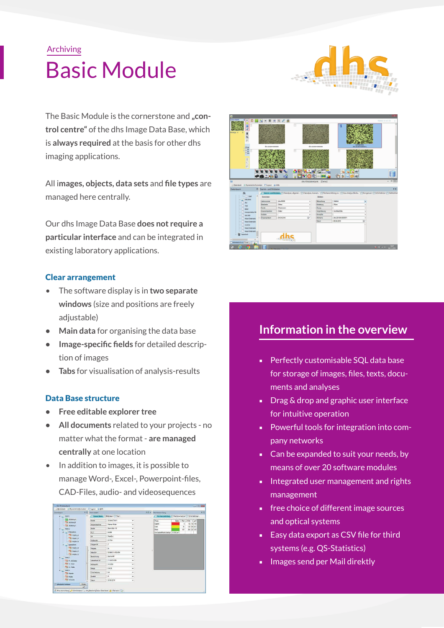# Archiving Basic Module



The Basic Module is the cornerstone and "con**trol centre"** of the dhs Image Data Base, which is **always required** at the basis for other dhs imaging applications.

All i**mages, objects, data sets** and **file types** are managed here centrally.

Our dhs Image Data Base **does not require a particular interface** and can be integrated in existing laboratory applications.

# Clear arrangement

- The software display is in **two separate windows** (size and positions are freely adjustable)
- **• Main data** for organising the data base
- **• Image-specific fields** for detailed description of images
- **• Tabs** for visualisation of analysis-results

# Data Base structure

- **• Free editable explorer tree**
- **• All documents** related to your projects no matter what the format - **are managed centrally** at one location
- In addition to images, it is possible to manage Word-, Excel-, Powerpoint-files, CAD-Files, audio- and videosequences

| Docestourn                                                                                                                                                                                                                 |        | # El Stanmdaten                       |                     |    | 从四<br># El X Richtrensitting                   |  |                           |  |                          |  |
|----------------------------------------------------------------------------------------------------------------------------------------------------------------------------------------------------------------------------|--------|---------------------------------------|---------------------|----|------------------------------------------------|--|---------------------------|--|--------------------------|--|
| <b>West</b><br>ALtrànsk.<br>Till Abtelung 8<br>THE Abbridge C<br>Wwk 2<br><b>LE Richsdick</b><br>The work all<br>Till moder 24<br>To wade 15<br>Li Sossoicht<br>The modes ad-<br>To modes 04<br>Ti mdw 25<br><b>Werk 3</b> |        | <b>Stemmobiles</b><br>Diddett'   Text |                     |    | Flachenervitting Partist-Analyte Schichtdicken |  |                           |  |                          |  |
|                                                                                                                                                                                                                            |        | <b>Kirido</b>                         | Scheudt Ged-H       |    | Physie                                         |  | Fate 1. Wed 2. Wed 5 unit |  |                          |  |
|                                                                                                                                                                                                                            |        | <b>Assimiliation</b>                  | <b>Warran Miday</b> | ÷  | Goote                                          |  |                           |  | 40 13 190                |  |
|                                                                                                                                                                                                                            |        | <b>State</b>                          | Sehrfeler, 11       | ÷. | Perk<br>Matrix                                 |  | 41<br>111                 |  | 180 55 521<br>255 22 305 |  |
|                                                                                                                                                                                                                            |        | P(Z)                                  | 60393               | ٠  | De Gerenfliche berägt: 1415 8 un <sup>s</sup>  |  |                           |  |                          |  |
|                                                                                                                                                                                                                            |        | loc                                   | <b>Frankfurt</b>    | ۰  |                                                |  |                           |  |                          |  |
|                                                                                                                                                                                                                            |        | <b>Piùbercht</b>                      | 32744               | ۰  |                                                |  |                           |  |                          |  |
|                                                                                                                                                                                                                            |        | <b>Olargeo-Nr.</b>                    | z.                  | ٠  |                                                |  |                           |  |                          |  |
|                                                                                                                                                                                                                            |        | Fisigate                              | w                   |    |                                                |  |                           |  |                          |  |
|                                                                                                                                                                                                                            |        | Sedan No.                             | 9236B131-050 OAK    |    |                                                |  |                           |  |                          |  |
|                                                                                                                                                                                                                            |        | Boxisteurg                            | Gwynter             |    |                                                |  |                           |  |                          |  |
| Till 7t, Schneder                                                                                                                                                                                                          |        | Lideration 29                         | 1188 55-136         | ۰  |                                                |  |                           |  |                          |  |
| THE FIG. New                                                                                                                                                                                                               |        | Africa Nr.                            | 16 3350             | ÷  |                                                |  |                           |  |                          |  |
| The Fay Miller                                                                                                                                                                                                             |        | Highas                                | 436.91              | ۰  |                                                |  |                           |  |                          |  |
| Werk<br>Till Helich                                                                                                                                                                                                        |        | <b>Establishers</b>                   | <b>Test</b>         | ۰  |                                                |  |                           |  |                          |  |
| <b>THE MUTHE</b>                                                                                                                                                                                                           |        | Guita                                 | z.                  | ۰  |                                                |  |                           |  |                          |  |
| TB Schnute                                                                                                                                                                                                                 |        | Ceter.                                | 29.00.2010          | ÷. |                                                |  |                           |  |                          |  |
| 7. Abhabetech sotiener                                                                                                                                                                                                     | Findes |                                       |                     |    |                                                |  |                           |  |                          |  |



# **Information in the overview**

- Perfectly customisable SQL data base for storage of images, files, texts, documents and analyses
- Drag & drop and graphic user interface for intuitive operation
- Powerful tools for integration into company networks
- Can be expanded to suit your needs, by means of over 20 software modules
- Integrated user management and rights management
- free choice of different image sources and optical systems
- Easy data export as CSV file for third systems (e.g. QS-Statistics)
- Images send per Mail direktly